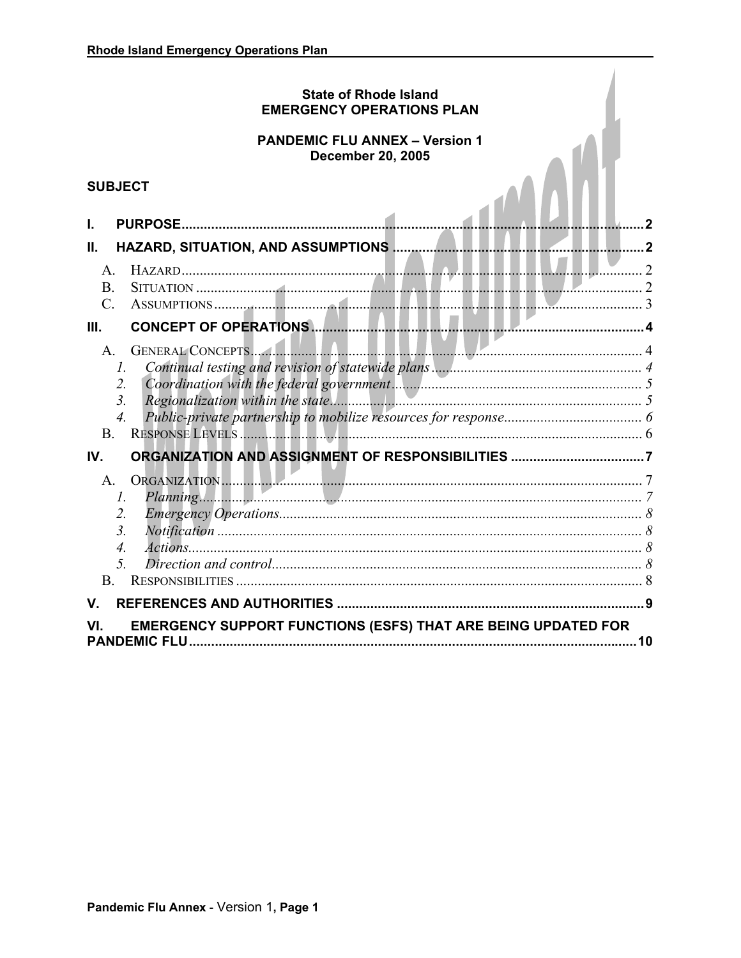# **State of Rhode Island EMERGENCY OPERATIONS PLAN**

# **PANDEMIC FLU ANNEX - Version 1 December 20, 2005**

# **SUBJECT**

| <b>PANDEMIC FLU ANNEX - Version 1</b><br><b>December 20, 2005</b>                                                    |                             |
|----------------------------------------------------------------------------------------------------------------------|-----------------------------|
| <b>SUBJECT</b>                                                                                                       |                             |
| <b>PURPOSE.</b><br>I.<br>HAZARD, SITUATION, AND ASSUMPTIONS<br>Ш.<br>$\mathsf{A}$<br>$\frac{1}{2}$<br>B <sub>1</sub> | $\mathcal{D}_{\mathcal{L}}$ |
| ASSUMPTIONS 3<br>$\mathcal{C}$ .<br>III.<br><b>THE PERSON A</b>                                                      |                             |
| GENERAL CONCEPTS<br>$A_{\cdot}$<br>1.<br>$\overline{2}$ .<br>3 <sub>1</sub><br>$\overline{4}$ .<br>B <sub>1</sub>    |                             |
| IV.                                                                                                                  |                             |
| A <sub>1</sub><br>$\mathcal{I}$ .<br>2.<br>$\overline{3}$ .<br>$\overline{4}$ .<br>$\mathcal{F}$<br>B.               |                             |
| V.                                                                                                                   |                             |
| EMERGENCY SUPPORT FUNCTIONS (ESFS) THAT ARE BEING UPDATED FOR<br>10                                                  |                             |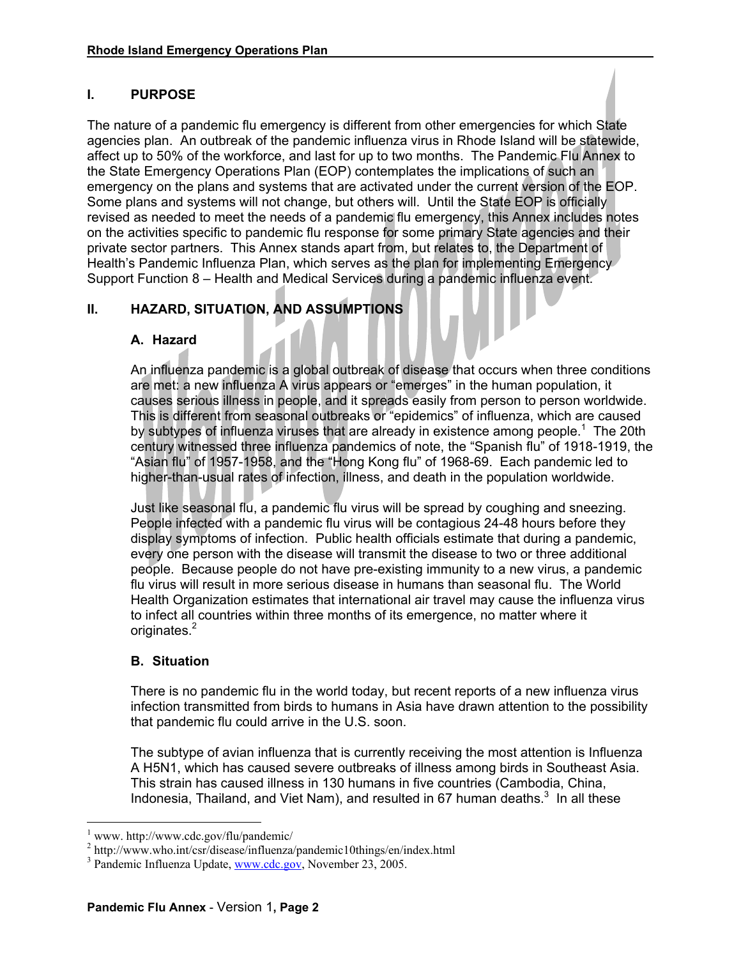# **I. PURPOSE**

The nature of a pandemic flu emergency is different from other emergencies for which State agencies plan. An outbreak of the pandemic influenza virus in Rhode Island will be statewide, affect up to 50% of the workforce, and last for up to two months. The Pandemic Flu Annex to the State Emergency Operations Plan (EOP) contemplates the implications of such an emergency on the plans and systems that are activated under the current version of the EOP. Some plans and systems will not change, but others will. Until the State EOP is officially revised as needed to meet the needs of a pandemic flu emergency, this Annex includes notes on the activities specific to pandemic flu response for some primary State agencies and their private sector partners. This Annex stands apart from, but relates to, the Department of Health's Pandemic Influenza Plan, which serves as the plan for implementing Emergency Support Function 8 – Health and Medical Services during a pandemic influenza event.

# **II. HAZARD, SITUATION, AND ASSUMPTIONS**

### **A. Hazard**

An influenza pandemic is a global outbreak of disease that occurs when three conditions are met: a new influenza A virus appears or "emerges" in the human population, it causes serious illness in people, and it spreads easily from person to person worldwide. This is different from seasonal outbreaks or "epidemics" of influenza, which are caused by subtypes of influenza viruses that are already in existence among people.<sup>1</sup> The 20th century witnessed three influenza pandemics of note, the "Spanish flu" of 1918-1919, the "Asian flu" of 1957-1958, and the "Hong Kong flu" of 1968-69. Each pandemic led to higher-than-usual rates of infection, illness, and death in the population worldwide.

Just like seasonal flu, a pandemic flu virus will be spread by coughing and sneezing. People infected with a pandemic flu virus will be contagious 24-48 hours before they display symptoms of infection. Public health officials estimate that during a pandemic, every one person with the disease will transmit the disease to two or three additional people. Because people do not have pre-existing immunity to a new virus, a pandemic flu virus will result in more serious disease in humans than seasonal flu. The World Health Organization estimates that international air travel may cause the influenza virus to infect all countries within three months of its emergence, no matter where it originates.<sup>2</sup>

### **B. Situation**

There is no pandemic flu in the world today, but recent reports of a new influenza virus infection transmitted from birds to humans in Asia have drawn attention to the possibility that pandemic flu could arrive in the U.S. soon.

The subtype of avian influenza that is currently receiving the most attention is Influenza A H5N1, which has caused severe outbreaks of illness among birds in Southeast Asia. This strain has caused illness in 130 humans in five countries (Cambodia, China, Indonesia, Thailand, and Viet Nam), and resulted in 67 human deaths. $3$  In all these

 $\overline{a}$ 

<sup>1</sup> www. http://www.cdc.gov/flu/pandemic/

<sup>&</sup>lt;sup>2</sup> http://www.who.int/csr/disease/influenza/pandemic10things/en/index.html

<sup>&</sup>lt;sup>3</sup> Pandemic Influenza Update, www.cdc.gov, November 23, 2005.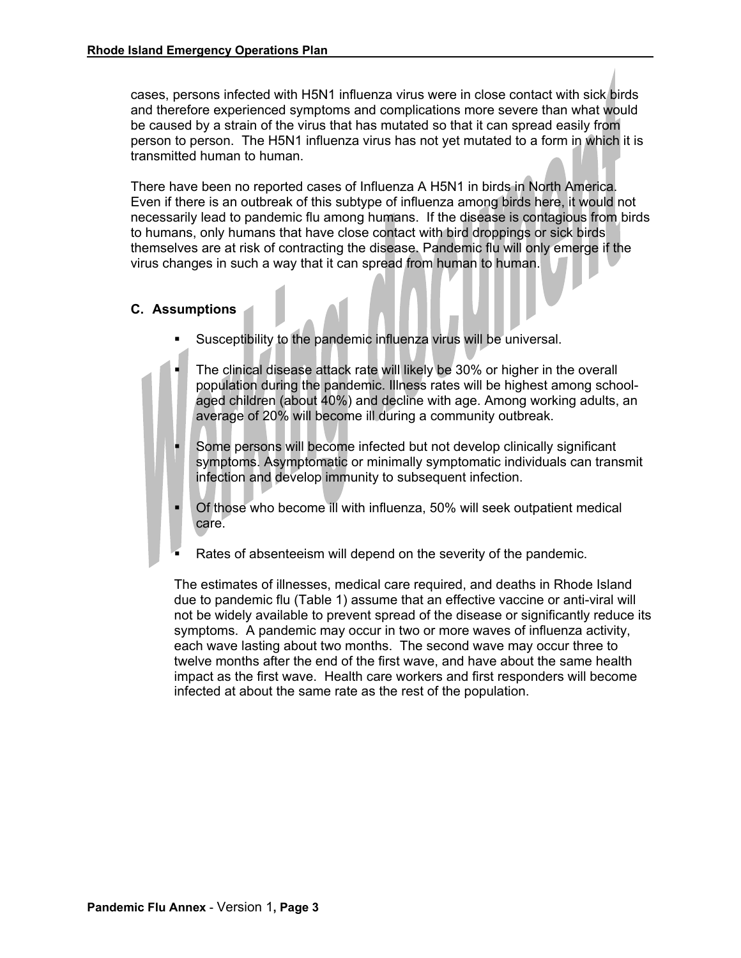cases, persons infected with H5N1 influenza virus were in close contact with sick birds and therefore experienced symptoms and complications more severe than what would be caused by a strain of the virus that has mutated so that it can spread easily from person to person. The H5N1 influenza virus has not yet mutated to a form in which it is transmitted human to human.

There have been no reported cases of Influenza A H5N1 in birds in North America. Even if there is an outbreak of this subtype of influenza among birds here, it would not necessarily lead to pandemic flu among humans. If the disease is contagious from birds to humans, only humans that have close contact with bird droppings or sick birds themselves are at risk of contracting the disease. Pandemic flu will only emerge if the virus changes in such a way that it can spread from human to human.

### **C. Assumptions**

- Susceptibility to the pandemic influenza virus will be universal.
- The clinical disease attack rate will likely be 30% or higher in the overall population during the pandemic. Illness rates will be highest among schoolaged children (about 40%) and decline with age. Among working adults, an average of 20% will become ill during a community outbreak.
- Some persons will become infected but not develop clinically significant symptoms. Asymptomatic or minimally symptomatic individuals can transmit infection and develop immunity to subsequent infection.
- Of those who become ill with influenza, 50% will seek outpatient medical care.
- Rates of absenteeism will depend on the severity of the pandemic.

The estimates of illnesses, medical care required, and deaths in Rhode Island due to pandemic flu (Table 1) assume that an effective vaccine or anti-viral will not be widely available to prevent spread of the disease or significantly reduce its symptoms. A pandemic may occur in two or more waves of influenza activity, each wave lasting about two months. The second wave may occur three to twelve months after the end of the first wave, and have about the same health impact as the first wave. Health care workers and first responders will become infected at about the same rate as the rest of the population.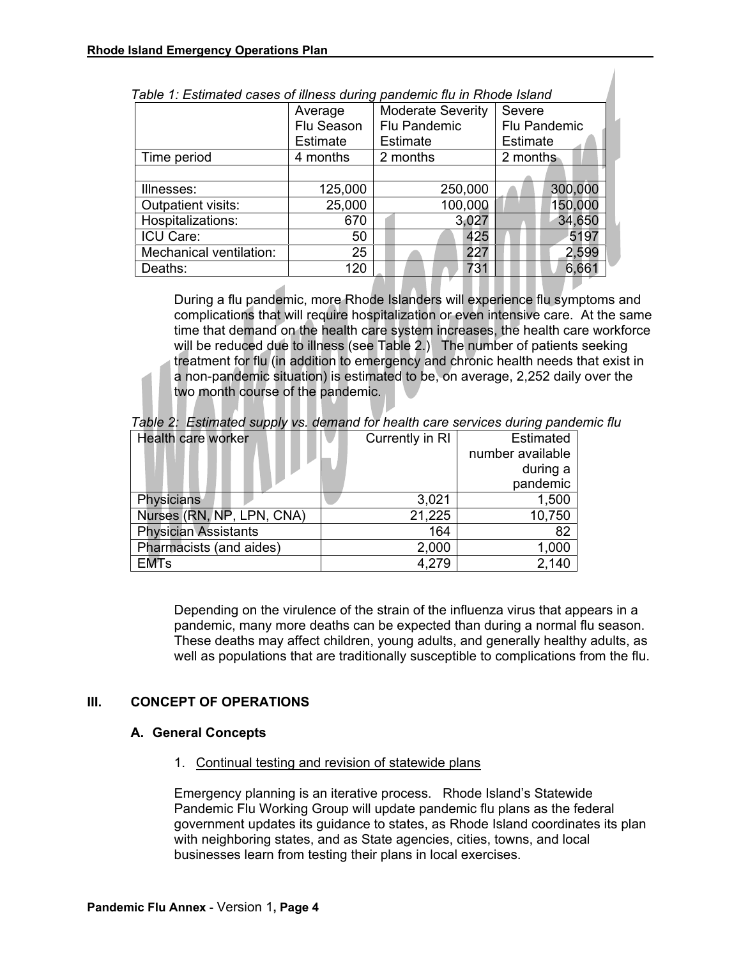| rabic 1. Louinated cases of illitess darling panaerine na in Nioue Island |                          |                 |  |  |
|---------------------------------------------------------------------------|--------------------------|-----------------|--|--|
| Average                                                                   | <b>Moderate Severity</b> | Severe          |  |  |
| Flu Season<br>Flu Pandemic                                                |                          | Flu Pandemic    |  |  |
| <b>Estimate</b>                                                           | <b>Estimate</b>          | <b>Estimate</b> |  |  |
| 4 months                                                                  | 2 months                 | 2 months        |  |  |
|                                                                           |                          |                 |  |  |
| 125,000                                                                   | 250,000                  | 300,000         |  |  |
| 25,000                                                                    | 100,000                  | 150,000         |  |  |
| 670                                                                       | 3,027                    | 34,650          |  |  |
| 50                                                                        | 425                      | 5197            |  |  |
| 25                                                                        | 227                      | 2,599           |  |  |
| 120                                                                       | 731                      | 6,661           |  |  |
|                                                                           |                          |                 |  |  |

| Table 1: Estimated cases of illness during pandemic flu in Rhode Island |  |
|-------------------------------------------------------------------------|--|
|-------------------------------------------------------------------------|--|

During a flu pandemic, more Rhode Islanders will experience flu symptoms and complications that will require hospitalization or even intensive care. At the same time that demand on the health care system increases, the health care workforce will be reduced due to illness (see Table 2.) The number of patients seeking treatment for flu (in addition to emergency and chronic health needs that exist in a non-pandemic situation) is estimated to be, on average, 2,252 daily over the two month course of the pandemic.

| <b>Health care worker</b>   | Currently in RI | <b>Estimated</b> |
|-----------------------------|-----------------|------------------|
|                             |                 | number available |
|                             |                 | during a         |
|                             |                 | pandemic         |
| <b>Physicians</b>           | 3,021           | 1,500            |
| Nurses (RN, NP, LPN, CNA)   | 21,225          | 10,750           |
| <b>Physician Assistants</b> | 164             | 82               |
| Pharmacists (and aides)     | 2,000           | 1,000            |
| <b>EMTs</b>                 | 4,279           | 2,140            |

*Table 2: Estimated supply vs. demand for health care services during pandemic flu* 

Depending on the virulence of the strain of the influenza virus that appears in a pandemic, many more deaths can be expected than during a normal flu season. These deaths may affect children, young adults, and generally healthy adults, as well as populations that are traditionally susceptible to complications from the flu.

### **III. CONCEPT OF OPERATIONS**

### **A. General Concepts**

1. Continual testing and revision of statewide plans

Emergency planning is an iterative process. Rhode Island's Statewide Pandemic Flu Working Group will update pandemic flu plans as the federal government updates its guidance to states, as Rhode Island coordinates its plan with neighboring states, and as State agencies, cities, towns, and local businesses learn from testing their plans in local exercises.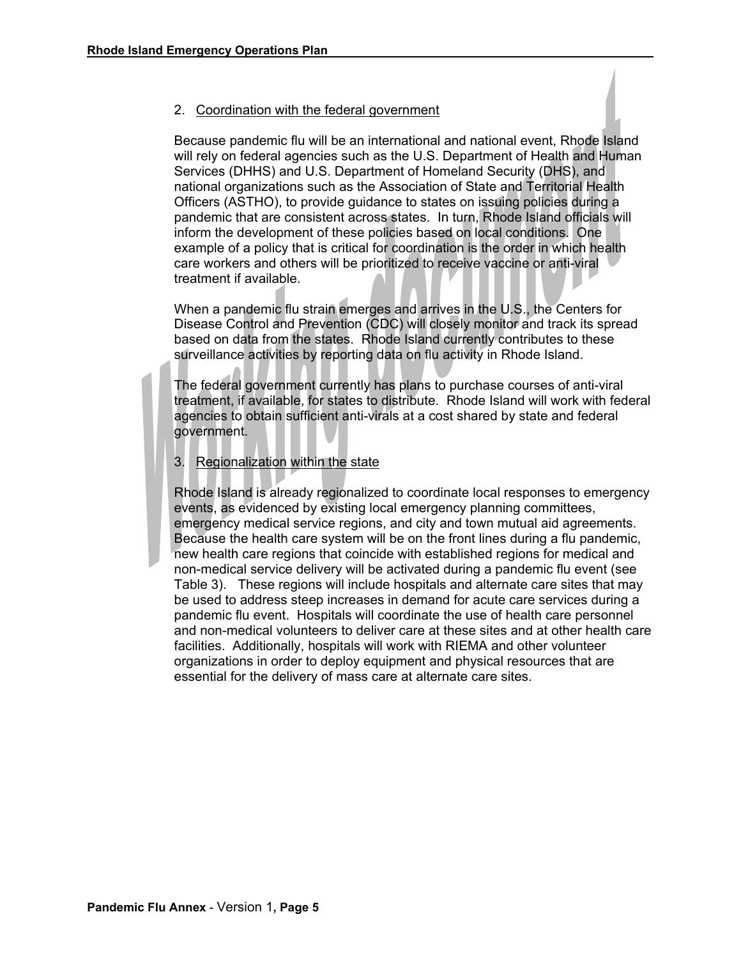#### 2. Coordination with the federal government

Because pandemic flu will be an international and national event, Rhode Island will rely on federal agencies such as the U.S. Department of Health and Human Services (DHHS) and U.S. Department of Homeland Security (DHS), and national organizations such as the Association of State and Territorial Health Officers (ASTHO), to provide guidance to states on issuing policies during a pandemic that are consistent across states. In turn, Rhode Island officials will inform the development of these policies based on local conditions. One example of a policy that is critical for coordination is the order in which health care workers and others will be prioritized to receive vaccine or anti-viral treatment if available.

When a pandemic flu strain emerges and arrives in the U.S., the Centers for Disease Control and Prevention (CDC) will closely monitor and track its spread based on data from the states. Rhode Island currently contributes to these surveillance activities by reporting data on flu activity in Rhode Island.

The federal government currently has plans to purchase courses of anti-viral treatment, if available, for states to distribute. Rhode Island will work with federal agencies to obtain sufficient anti-virals at a cost shared by state and federal government.

#### 3. Regionalization within the state

Rhode Island is already regionalized to coordinate local responses to emergency events, as evidenced by existing local emergency planning committees, emergency medical service regions, and city and town mutual aid agreements. Because the health care system will be on the front lines during a flu pandemic, new health care regions that coincide with established regions for medical and non-medical service delivery will be activated during a pandemic flu event (see Table 3). These regions will include hospitals and alternate care sites that may be used to address steep increases in demand for acute care services during a pandemic flu event. Hospitals will coordinate the use of health care personnel and non-medical volunteers to deliver care at these sites and at other health care facilities. Additionally, hospitals will work with RIEMA and other volunteer organizations in order to deploy equipment and physical resources that are essential for the delivery of mass care at alternate care sites.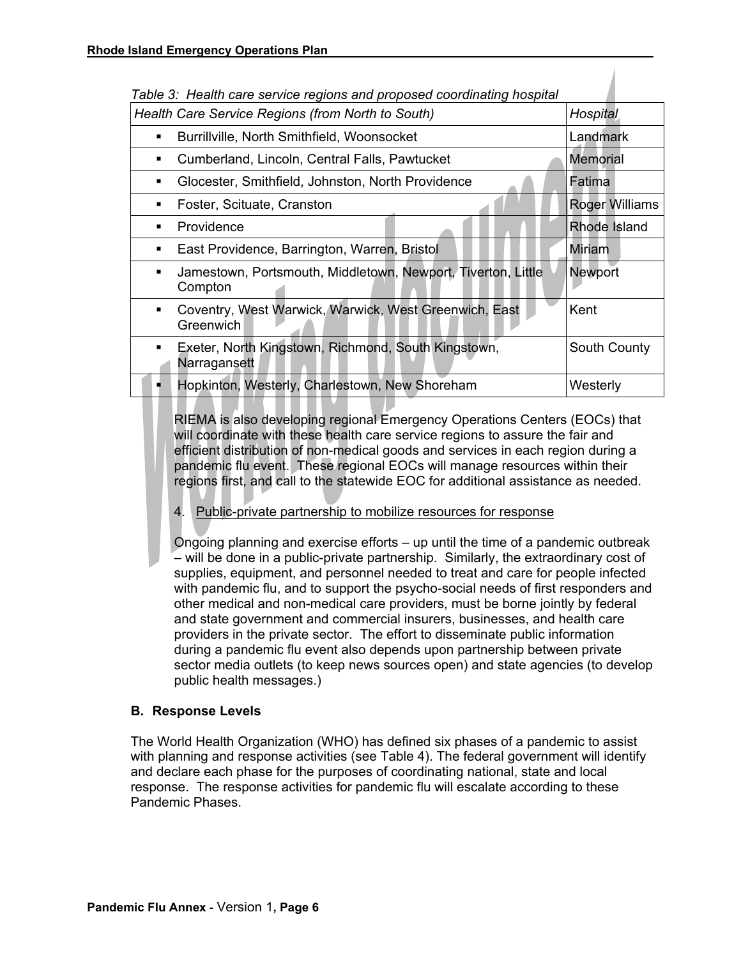| i abie 3. Health care service regions and proposed coordinating nospital     |                       |
|------------------------------------------------------------------------------|-----------------------|
| Health Care Service Regions (from North to South)                            | Hospital              |
| Burrillville, North Smithfield, Woonsocket<br>٠                              | Landmark              |
| Cumberland, Lincoln, Central Falls, Pawtucket<br>٠                           | Memorial              |
| Glocester, Smithfield, Johnston, North Providence<br>٠                       | Fatima                |
| Foster, Scituate, Cranston<br>٠                                              | <b>Roger Williams</b> |
| Providence<br>٠                                                              | Rhode Island          |
| East Providence, Barrington, Warren, Bristol<br>٠                            | Miriam                |
| Jamestown, Portsmouth, Middletown, Newport, Tiverton, Little<br>٠<br>Compton | <b>Newport</b>        |
| Coventry, West Warwick, Warwick, West Greenwich, East<br>٠<br>Greenwich      | Kent                  |
| Exeter, North Kingstown, Richmond, South Kingstown,<br>٠<br>Narragansett     | South County          |
| Hopkinton, Westerly, Charlestown, New Shoreham                               | Westerly              |

*Table 3: Health care service regions and proposed coordinating hospital* 

RIEMA is also developing regional Emergency Operations Centers (EOCs) that will coordinate with these health care service regions to assure the fair and efficient distribution of non-medical goods and services in each region during a pandemic flu event. These regional EOCs will manage resources within their regions first, and call to the statewide EOC for additional assistance as needed.

4. Public-private partnership to mobilize resources for response

Ongoing planning and exercise efforts – up until the time of a pandemic outbreak – will be done in a public-private partnership. Similarly, the extraordinary cost of supplies, equipment, and personnel needed to treat and care for people infected with pandemic flu, and to support the psycho-social needs of first responders and other medical and non-medical care providers, must be borne jointly by federal and state government and commercial insurers, businesses, and health care providers in the private sector. The effort to disseminate public information during a pandemic flu event also depends upon partnership between private sector media outlets (to keep news sources open) and state agencies (to develop public health messages.)

### **B. Response Levels**

The World Health Organization (WHO) has defined six phases of a pandemic to assist with planning and response activities (see Table 4). The federal government will identify and declare each phase for the purposes of coordinating national, state and local response. The response activities for pandemic flu will escalate according to these Pandemic Phases.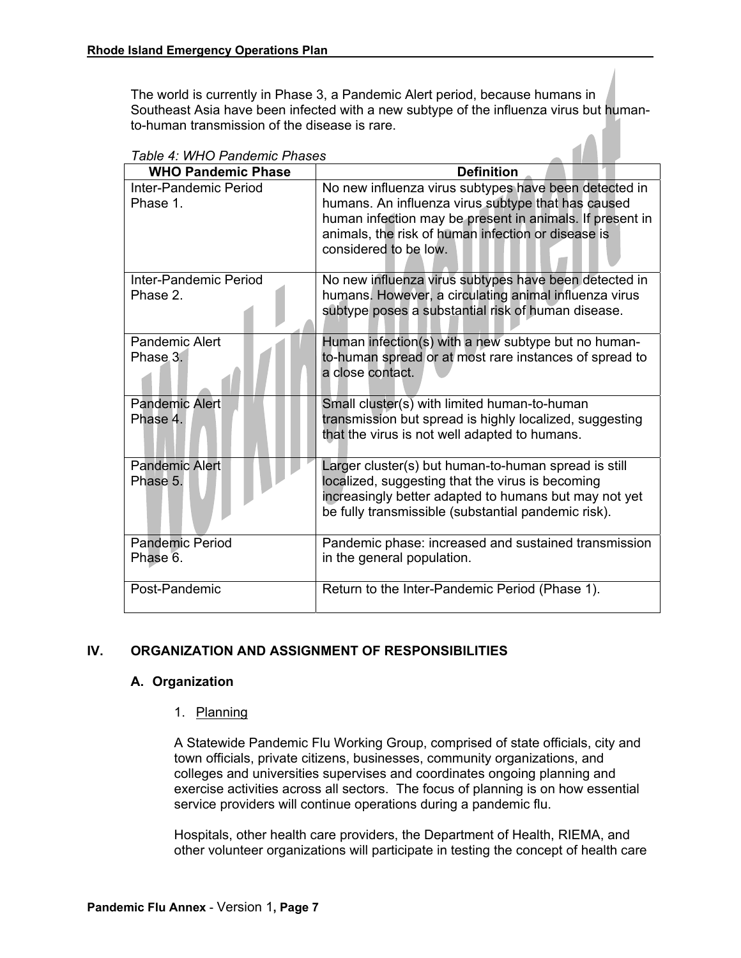The world is currently in Phase 3, a Pandemic Alert period, because humans in Southeast Asia have been infected with a new subtype of the influenza virus but humanto-human transmission of the disease is rare.

| , avic 7. 11. 10 . andchill . nascs<br><b>WHO Pandemic Phase</b> | <b>Definition</b>                                                                                                                                                                                                                                      |
|------------------------------------------------------------------|--------------------------------------------------------------------------------------------------------------------------------------------------------------------------------------------------------------------------------------------------------|
| Inter-Pandemic Period<br>Phase 1.                                | No new influenza virus subtypes have been detected in<br>humans. An influenza virus subtype that has caused<br>human infection may be present in animals. If present in<br>animals, the risk of human infection or disease is<br>considered to be low. |
| Inter-Pandemic Period<br>Phase 2.                                | No new influenza virus subtypes have been detected in<br>humans. However, a circulating animal influenza virus<br>subtype poses a substantial risk of human disease.                                                                                   |
| Pandemic Alert<br>Phase 3.                                       | Human infection(s) with a new subtype but no human-<br>to-human spread or at most rare instances of spread to<br>a close contact.                                                                                                                      |
| <b>Pandemic Alert</b><br>Phase 4.                                | Small cluster( $s$ ) with limited human-to-human<br>transmission but spread is highly localized, suggesting<br>that the virus is not well adapted to humans.                                                                                           |
| <b>Pandemic Alert</b><br>Phase 5.                                | Larger cluster(s) but human-to-human spread is still<br>localized, suggesting that the virus is becoming<br>increasingly better adapted to humans but may not yet<br>be fully transmissible (substantial pandemic risk).                               |
| <b>Pandemic Period</b><br>Phase 6.                               | Pandemic phase: increased and sustained transmission<br>in the general population.                                                                                                                                                                     |
| Post-Pandemic                                                    | Return to the Inter-Pandemic Period (Phase 1).                                                                                                                                                                                                         |

# *Table 4: WHO Pandemic Phases*

### **IV. ORGANIZATION AND ASSIGNMENT OF RESPONSIBILITIES**

#### **A. Organization**

#### 1. Planning

A Statewide Pandemic Flu Working Group, comprised of state officials, city and town officials, private citizens, businesses, community organizations, and colleges and universities supervises and coordinates ongoing planning and exercise activities across all sectors. The focus of planning is on how essential service providers will continue operations during a pandemic flu.

Hospitals, other health care providers, the Department of Health, RIEMA, and other volunteer organizations will participate in testing the concept of health care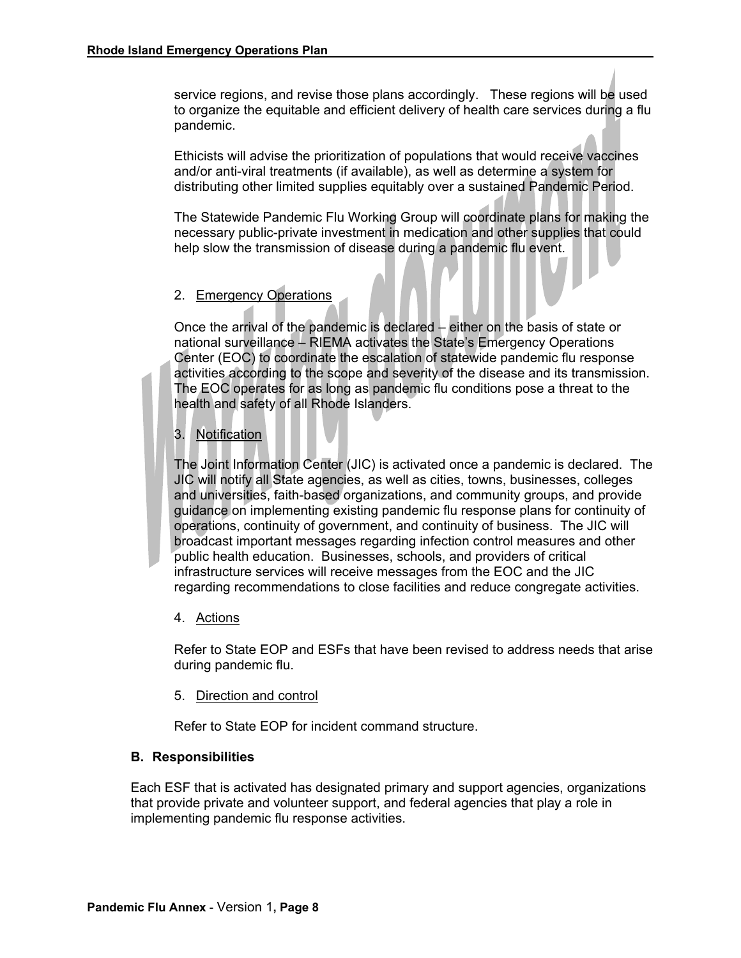service regions, and revise those plans accordingly. These regions will be used to organize the equitable and efficient delivery of health care services during a flu pandemic.

Ethicists will advise the prioritization of populations that would receive vaccines and/or anti-viral treatments (if available), as well as determine a system for distributing other limited supplies equitably over a sustained Pandemic Period.

The Statewide Pandemic Flu Working Group will coordinate plans for making the necessary public-private investment in medication and other supplies that could help slow the transmission of disease during a pandemic flu event.

### 2. Emergency Operations

Once the arrival of the pandemic is declared – either on the basis of state or national surveillance – RIEMA activates the State's Emergency Operations Center (EOC) to coordinate the escalation of statewide pandemic flu response activities according to the scope and severity of the disease and its transmission. The EOC operates for as long as pandemic flu conditions pose a threat to the health and safety of all Rhode Islanders.

### 3. Notification

The Joint Information Center (JIC) is activated once a pandemic is declared. The JIC will notify all State agencies, as well as cities, towns, businesses, colleges and universities, faith-based organizations, and community groups, and provide guidance on implementing existing pandemic flu response plans for continuity of operations, continuity of government, and continuity of business. The JIC will broadcast important messages regarding infection control measures and other public health education. Businesses, schools, and providers of critical infrastructure services will receive messages from the EOC and the JIC regarding recommendations to close facilities and reduce congregate activities.

4. Actions

Refer to State EOP and ESFs that have been revised to address needs that arise during pandemic flu.

5. Direction and control

Refer to State EOP for incident command structure.

#### **B. Responsibilities**

Each ESF that is activated has designated primary and support agencies, organizations that provide private and volunteer support, and federal agencies that play a role in implementing pandemic flu response activities.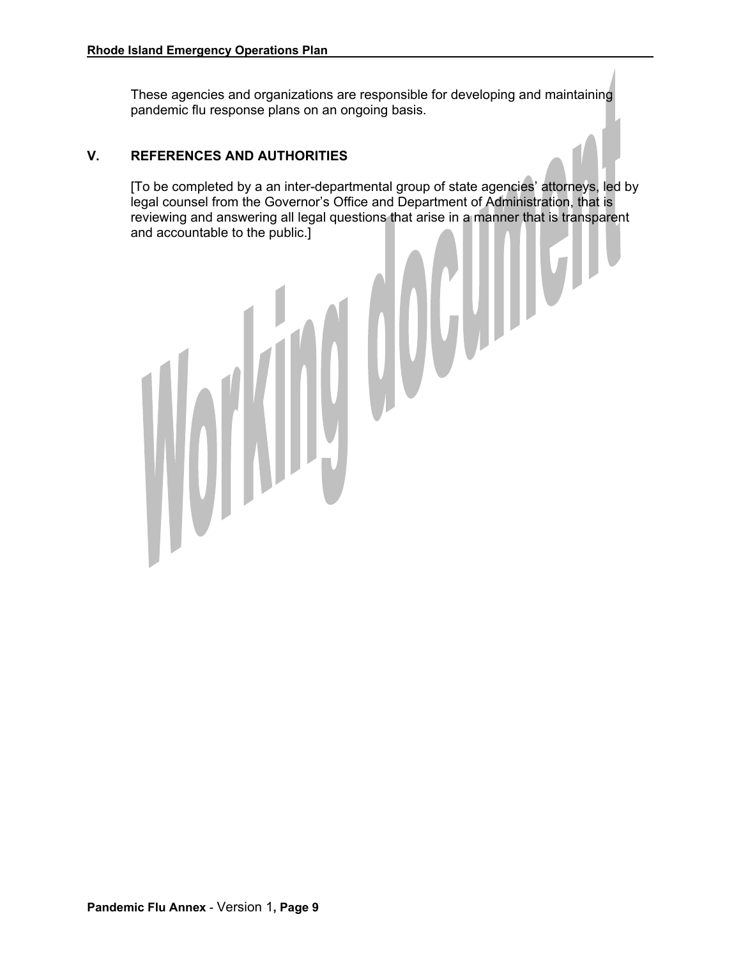These agencies and organizations are responsible for developing and maintaining pandemic flu response plans on an ongoing basis.

### **V. REFERENCES AND AUTHORITIES**

[To be completed by a an inter-departmental group of state agencies' attorneys, led by legal counsel from the Governor's Office and Department of Administration, that is reviewing and answering all legal questions that arise in a manner that is transparent and accountable to the public.]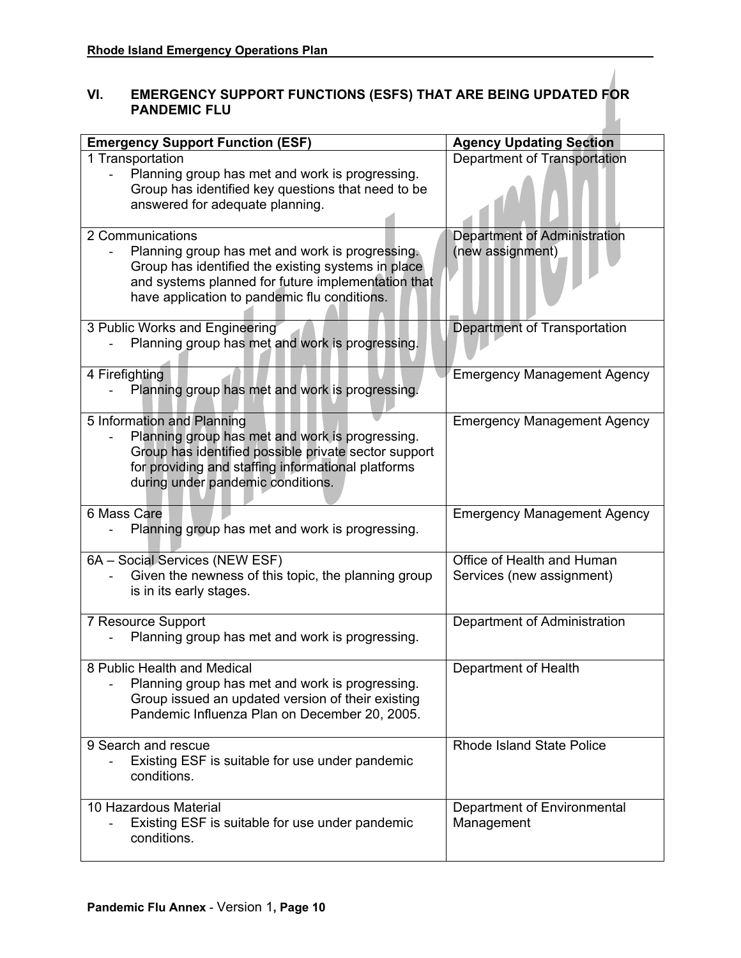# **VI. EMERGENCY SUPPORT FUNCTIONS (ESFS) THAT ARE BEING UPDATED FOR PANDEMIC FLU**

| <b>Emergency Support Function (ESF)</b>                                                            | <b>Agency Updating Section</b>     |
|----------------------------------------------------------------------------------------------------|------------------------------------|
| 1 Transportation                                                                                   | Department of Transportation       |
| Planning group has met and work is progressing.                                                    |                                    |
| Group has identified key questions that need to be                                                 |                                    |
| answered for adequate planning.                                                                    |                                    |
|                                                                                                    |                                    |
| 2 Communications                                                                                   | Department of Administration       |
| Planning group has met and work is progressing.                                                    | (new assignment)                   |
| Group has identified the existing systems in place                                                 |                                    |
| and systems planned for future implementation that                                                 |                                    |
| have application to pandemic flu conditions.                                                       |                                    |
|                                                                                                    |                                    |
| 3 Public Works and Engineering                                                                     | Department of Transportation       |
| Planning group has met and work is progressing.                                                    |                                    |
|                                                                                                    |                                    |
| 4 Firefighting                                                                                     | <b>Emergency Management Agency</b> |
| Planning group has met and work is progressing.                                                    |                                    |
|                                                                                                    |                                    |
| 5 Information and Planning                                                                         | <b>Emergency Management Agency</b> |
| Planning group has met and work is progressing.                                                    |                                    |
| Group has identified possible private sector support                                               |                                    |
| for providing and staffing informational platforms                                                 |                                    |
| during under pandemic conditions.                                                                  |                                    |
|                                                                                                    |                                    |
| 6 Mass Care                                                                                        | <b>Emergency Management Agency</b> |
| Planning group has met and work is progressing.                                                    |                                    |
|                                                                                                    |                                    |
| 6A - Social Services (NEW ESF)                                                                     | Office of Health and Human         |
| Given the newness of this topic, the planning group                                                | Services (new assignment)          |
| is in its early stages.                                                                            |                                    |
|                                                                                                    |                                    |
| 7 Resource Support                                                                                 | Department of Administration       |
| Planning group has met and work is progressing.                                                    |                                    |
| 8 Public Health and Medical                                                                        |                                    |
|                                                                                                    | Department of Health               |
| Planning group has met and work is progressing.                                                    |                                    |
| Group issued an updated version of their existing<br>Pandemic Influenza Plan on December 20, 2005. |                                    |
|                                                                                                    |                                    |
| 9 Search and rescue                                                                                | <b>Rhode Island State Police</b>   |
| Existing ESF is suitable for use under pandemic                                                    |                                    |
| conditions.                                                                                        |                                    |
|                                                                                                    |                                    |
| 10 Hazardous Material                                                                              | Department of Environmental        |
| Existing ESF is suitable for use under pandemic                                                    | Management                         |
| conditions.                                                                                        |                                    |
|                                                                                                    |                                    |